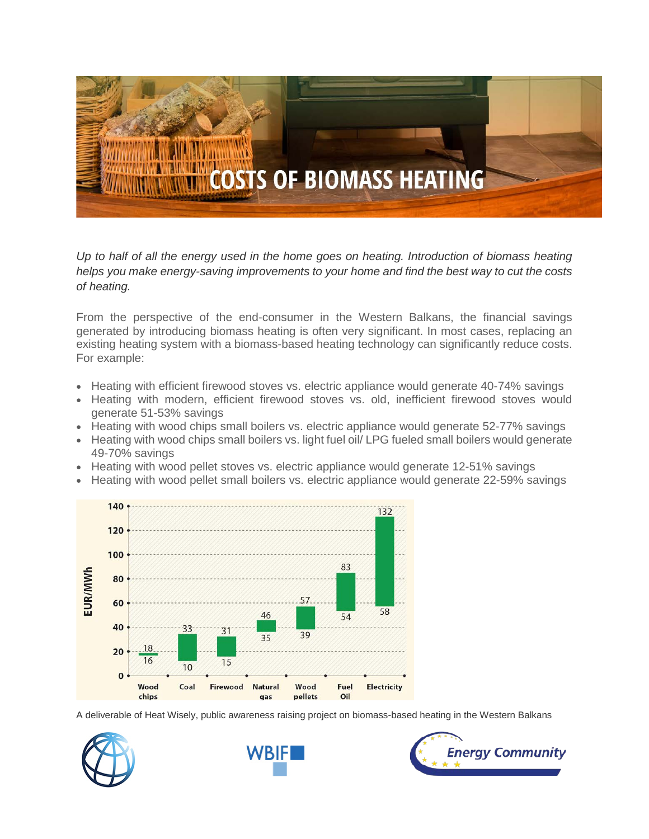

*Up to half of all the energy used in the home goes on heating. Introduction of biomass heating helps you make energy-saving improvements to your home and find the best way to cut the costs of heating.*

From the perspective of the end-consumer in the Western Balkans, the financial savings generated by introducing biomass heating is often very significant. In most cases, replacing an existing heating system with a biomass-based heating technology can significantly reduce costs. For example:

- Heating with efficient firewood stoves vs. electric appliance would generate 40-74% savings
- Heating with modern, efficient firewood stoves vs. old, inefficient firewood stoves would generate 51-53% savings
- Heating with wood chips small boilers vs. electric appliance would generate 52-77% savings
- Heating with wood chips small boilers vs. light fuel oil/ LPG fueled small boilers would generate 49-70% savings
- Heating with wood pellet stoves vs. electric appliance would generate 12-51% savings
- Heating with wood pellet small boilers vs. electric appliance would generate 22-59% savings



A deliverable of Heat Wisely, public awareness raising project on biomass-based heating in the Western Balkans